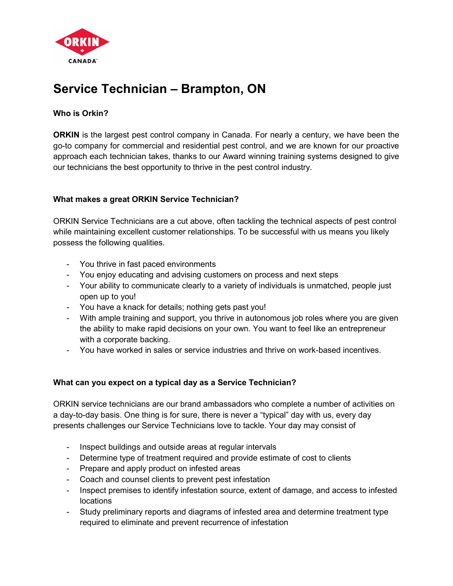

# Service Technician – Brampton, ON

## Who is Orkin?

ORKIN is the largest pest control company in Canada. For nearly a century, we have been the go-to company for commercial and residential pest control, and we are known for our proactive approach each technician takes, thanks to our Award winning training systems designed to give our technicians the best opportunity to thrive in the pest control industry.

## What makes a great ORKIN Service Technician?

ORKIN Service Technicians are a cut above, often tackling the technical aspects of pest control while maintaining excellent customer relationships. To be successful with us means you likely possess the following qualities.

- You thrive in fast paced environments
- You enjoy educating and advising customers on process and next steps
- Your ability to communicate clearly to a variety of individuals is unmatched, people just open up to you!
- You have a knack for details; nothing gets past you!
- With ample training and support, you thrive in autonomous job roles where you are given the ability to make rapid decisions on your own. You want to feel like an entrepreneur with a corporate backing.
- You have worked in sales or service industries and thrive on work-based incentives.

## What can you expect on a typical day as a Service Technician?

ORKIN service technicians are our brand ambassadors who complete a number of activities on a day-to-day basis. One thing is for sure, there is never a "typical" day with us, every day presents challenges our Service Technicians love to tackle. Your day may consist of

- Inspect buildings and outside areas at regular intervals
- Determine type of treatment required and provide estimate of cost to clients
- Prepare and apply product on infested areas
- Coach and counsel clients to prevent pest infestation
- Inspect premises to identify infestation source, extent of damage, and access to infested locations
- Study preliminary reports and diagrams of infested area and determine treatment type required to eliminate and prevent recurrence of infestation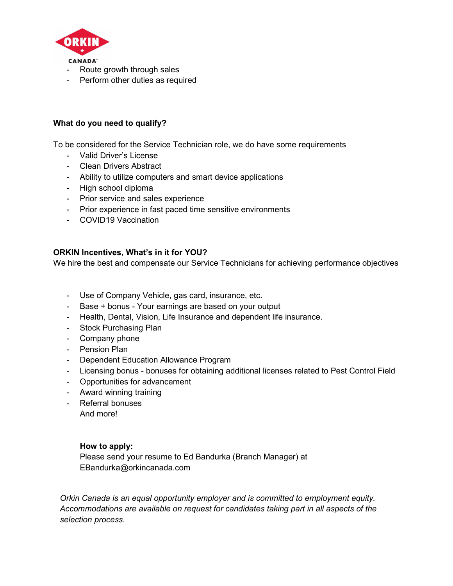

- Route growth through sales
- Perform other duties as required

### What do you need to qualify?

To be considered for the Service Technician role, we do have some requirements

- Valid Driver's License
- Clean Drivers Abstract
- Ability to utilize computers and smart device applications
- High school diploma
- Prior service and sales experience
- Prior experience in fast paced time sensitive environments
- COVID19 Vaccination

#### ORKIN Incentives, What's in it for YOU?

We hire the best and compensate our Service Technicians for achieving performance objectives

- Use of Company Vehicle, gas card, insurance, etc.
- Base + bonus Your earnings are based on your output
- Health, Dental, Vision, Life Insurance and dependent life insurance.
- Stock Purchasing Plan
- Company phone
- Pension Plan
- Dependent Education Allowance Program
- Licensing bonus bonuses for obtaining additional licenses related to Pest Control Field
- Opportunities for advancement
- Award winning training
- Referral bonuses
	- And more!

#### How to apply:

Please send your resume to Ed Bandurka (Branch Manager) at EBandurka@orkincanada.com

Orkin Canada is an equal opportunity employer and is committed to employment equity. Accommodations are available on request for candidates taking part in all aspects of the selection process.